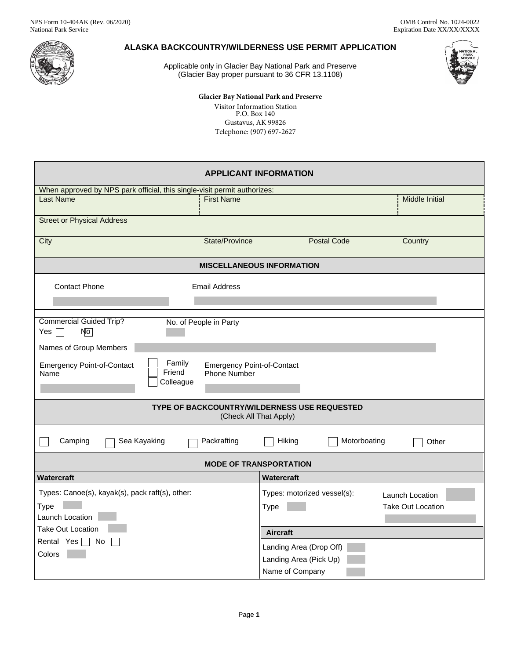

# **ALASKA BACKCOUNTRY/WILDERNESS USE PERMIT APPLICATION**

Applicable only in Glacier Bay National Park and Preserve (Glacier Bay proper pursuant to 36 CFR 13.1108)



## **Glacier Bay National Park and Preserve** Visitor Information Station

P.O. Box 140 Gustavus, AK 99826 Telephone: (907) 697-2627

| <b>APPLICANT INFORMATION</b>                                                                                                           |                                                                                                  |  |  |  |  |  |  |
|----------------------------------------------------------------------------------------------------------------------------------------|--------------------------------------------------------------------------------------------------|--|--|--|--|--|--|
| When approved by NPS park official, this single-visit permit authorizes:                                                               |                                                                                                  |  |  |  |  |  |  |
| <b>Last Name</b><br><b>First Name</b>                                                                                                  | Middle Initial                                                                                   |  |  |  |  |  |  |
| <b>Street or Physical Address</b>                                                                                                      |                                                                                                  |  |  |  |  |  |  |
| City<br>State/Province                                                                                                                 | <b>Postal Code</b><br>Country                                                                    |  |  |  |  |  |  |
| <b>MISCELLANEOUS INFORMATION</b>                                                                                                       |                                                                                                  |  |  |  |  |  |  |
| <b>Contact Phone</b><br><b>Email Address</b>                                                                                           |                                                                                                  |  |  |  |  |  |  |
|                                                                                                                                        |                                                                                                  |  |  |  |  |  |  |
| <b>Commercial Guided Trip?</b><br>No. of People in Party<br>N <sub>o</sub><br>Yes $\lceil$<br>$\sim$                                   |                                                                                                  |  |  |  |  |  |  |
| Names of Group Members                                                                                                                 |                                                                                                  |  |  |  |  |  |  |
| Family<br><b>Emergency Point-of-Contact</b><br><b>Emergency Point-of-Contact</b><br>Friend<br><b>Phone Number</b><br>Name<br>Colleague |                                                                                                  |  |  |  |  |  |  |
| TYPE OF BACKCOUNTRY/WILDERNESS USE REQUESTED<br>(Check All That Apply)                                                                 |                                                                                                  |  |  |  |  |  |  |
| Sea Kayaking<br>Packrafting<br>Motorboating<br>Camping<br>Hiking<br>Other                                                              |                                                                                                  |  |  |  |  |  |  |
| <b>MODE OF TRANSPORTATION</b>                                                                                                          |                                                                                                  |  |  |  |  |  |  |
| <b>Watercraft</b><br>Watercraft                                                                                                        |                                                                                                  |  |  |  |  |  |  |
| Types: Canoe(s), kayak(s), pack raft(s), other:<br>Type                                                                                | Types: motorized vessel(s):<br><b>Launch Location</b><br><b>Take Out Location</b><br><b>Type</b> |  |  |  |  |  |  |
| Launch Location                                                                                                                        |                                                                                                  |  |  |  |  |  |  |
| Take Out Location                                                                                                                      | <b>Aircraft</b>                                                                                  |  |  |  |  |  |  |
| Rental Yes $\Box$ No<br>Landing Area (Drop Off)                                                                                        |                                                                                                  |  |  |  |  |  |  |
| Colors                                                                                                                                 | Landing Area (Pick Up)                                                                           |  |  |  |  |  |  |
|                                                                                                                                        | Name of Company                                                                                  |  |  |  |  |  |  |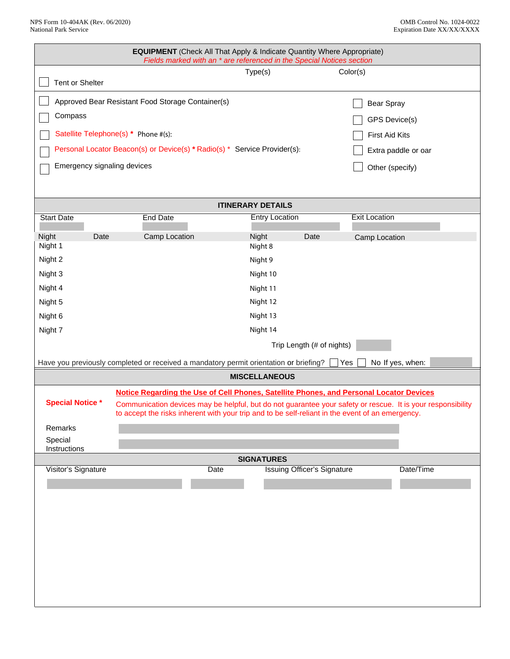| <b>EQUIPMENT</b> (Check All That Apply & Indicate Quantity Where Appropriate)<br>Fields marked with an * are referenced in the Special Notices section                                                                                                                                                                                |                 |                      |                       |                                    |                                    |           |  |
|---------------------------------------------------------------------------------------------------------------------------------------------------------------------------------------------------------------------------------------------------------------------------------------------------------------------------------------|-----------------|----------------------|-----------------------|------------------------------------|------------------------------------|-----------|--|
| Tent or Shelter                                                                                                                                                                                                                                                                                                                       |                 | Type(s)              |                       |                                    | Color(s)                           |           |  |
|                                                                                                                                                                                                                                                                                                                                       |                 |                      |                       |                                    |                                    |           |  |
| Approved Bear Resistant Food Storage Container(s)<br>Compass                                                                                                                                                                                                                                                                          |                 |                      |                       |                                    | <b>Bear Spray</b><br>GPS Device(s) |           |  |
| Satellite Telephone(s) * Phone #(s):                                                                                                                                                                                                                                                                                                  |                 |                      |                       |                                    | <b>First Aid Kits</b>              |           |  |
| Personal Locator Beacon(s) or Device(s) * Radio(s) * Service Provider(s):                                                                                                                                                                                                                                                             |                 |                      |                       | Extra paddle or oar                |                                    |           |  |
| Emergency signaling devices                                                                                                                                                                                                                                                                                                           |                 |                      |                       | Other (specify)                    |                                    |           |  |
|                                                                                                                                                                                                                                                                                                                                       |                 |                      |                       |                                    |                                    |           |  |
| <b>ITINERARY DETAILS</b>                                                                                                                                                                                                                                                                                                              |                 |                      |                       |                                    |                                    |           |  |
| <b>Start Date</b>                                                                                                                                                                                                                                                                                                                     | <b>End Date</b> |                      | <b>Entry Location</b> |                                    | <b>Exit Location</b>               |           |  |
| Night<br>Date                                                                                                                                                                                                                                                                                                                         | Camp Location   | Night                |                       | Date                               | Camp Location                      |           |  |
| Night 1<br>Night 2                                                                                                                                                                                                                                                                                                                    |                 | Night 8<br>Night 9   |                       |                                    |                                    |           |  |
| Night 3                                                                                                                                                                                                                                                                                                                               |                 | Night 10             |                       |                                    |                                    |           |  |
| Night 4                                                                                                                                                                                                                                                                                                                               |                 | Night 11             |                       |                                    |                                    |           |  |
| Night 5                                                                                                                                                                                                                                                                                                                               | Night 12        |                      |                       |                                    |                                    |           |  |
| Night 6                                                                                                                                                                                                                                                                                                                               |                 | Night 13             |                       |                                    |                                    |           |  |
| Night 7                                                                                                                                                                                                                                                                                                                               |                 | Night 14             |                       |                                    |                                    |           |  |
|                                                                                                                                                                                                                                                                                                                                       |                 |                      |                       | Trip Length (# of nights)          |                                    |           |  |
| Have you previously completed or received a mandatory permit orientation or briefing?<br>No If yes, when:<br>Yes                                                                                                                                                                                                                      |                 |                      |                       |                                    |                                    |           |  |
|                                                                                                                                                                                                                                                                                                                                       |                 | <b>MISCELLANEOUS</b> |                       |                                    |                                    |           |  |
| Notice Regarding the Use of Cell Phones, Satellite Phones, and Personal Locator Devices<br><b>Special Notice *</b><br>Communication devices may be helpful, but do not guarantee your safety or rescue. It is your responsibility<br>to accept the risks inherent with your trip and to be self-reliant in the event of an emergency. |                 |                      |                       |                                    |                                    |           |  |
| Remarks                                                                                                                                                                                                                                                                                                                               |                 |                      |                       |                                    |                                    |           |  |
| Special<br>Instructions                                                                                                                                                                                                                                                                                                               |                 |                      |                       |                                    |                                    |           |  |
| <b>SIGNATURES</b>                                                                                                                                                                                                                                                                                                                     |                 |                      |                       |                                    |                                    |           |  |
| Visitor's Signature                                                                                                                                                                                                                                                                                                                   |                 | Date                 |                       | <b>Issuing Officer's Signature</b> |                                    | Date/Time |  |
|                                                                                                                                                                                                                                                                                                                                       |                 |                      |                       |                                    |                                    |           |  |
|                                                                                                                                                                                                                                                                                                                                       |                 |                      |                       |                                    |                                    |           |  |
|                                                                                                                                                                                                                                                                                                                                       |                 |                      |                       |                                    |                                    |           |  |
|                                                                                                                                                                                                                                                                                                                                       |                 |                      |                       |                                    |                                    |           |  |
|                                                                                                                                                                                                                                                                                                                                       |                 |                      |                       |                                    |                                    |           |  |
|                                                                                                                                                                                                                                                                                                                                       |                 |                      |                       |                                    |                                    |           |  |
|                                                                                                                                                                                                                                                                                                                                       |                 |                      |                       |                                    |                                    |           |  |
|                                                                                                                                                                                                                                                                                                                                       |                 |                      |                       |                                    |                                    |           |  |
|                                                                                                                                                                                                                                                                                                                                       |                 |                      |                       |                                    |                                    |           |  |